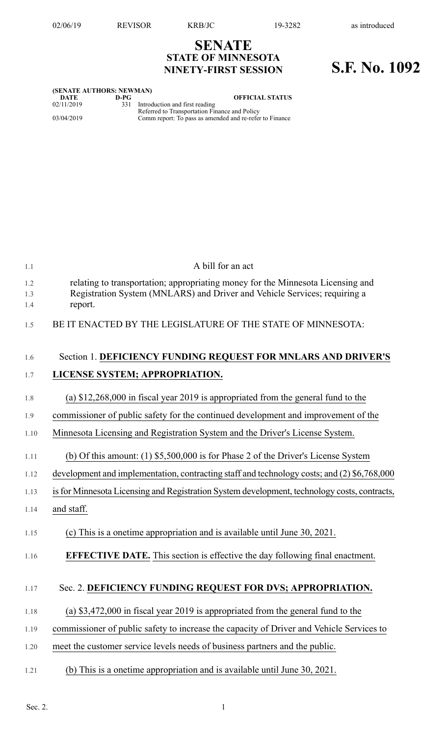## **SENATE STATE OF MINNESOTA NINETY-FIRST SESSION S.F. No. 1092**

| (SENATE AUTHORS: NEWMAN) |        |                                                                                     |  |  |  |  |  |
|--------------------------|--------|-------------------------------------------------------------------------------------|--|--|--|--|--|
| DATE                     | $D-PC$ | <b>OFFICIAL STATUS</b>                                                              |  |  |  |  |  |
| 02/11/2019               |        | 331 Introduction and first reading<br>Referred to Transportation Finance and Policy |  |  |  |  |  |
| 03/04/2019               |        | Comm report: To pass as amended and re-refer to Finance                             |  |  |  |  |  |

| 1.1               | A bill for an act                                                                                                                                                       |
|-------------------|-------------------------------------------------------------------------------------------------------------------------------------------------------------------------|
| 1.2<br>1.3<br>1.4 | relating to transportation; appropriating money for the Minnesota Licensing and<br>Registration System (MNLARS) and Driver and Vehicle Services; requiring a<br>report. |
| 1.5               | BE IT ENACTED BY THE LEGISLATURE OF THE STATE OF MINNESOTA:                                                                                                             |
| 1.6               | Section 1. DEFICIENCY FUNDING REQUEST FOR MNLARS AND DRIVER'S                                                                                                           |
| 1.7               | LICENSE SYSTEM; APPROPRIATION.                                                                                                                                          |
| 1.8               | (a) $$12,268,000$ in fiscal year 2019 is appropriated from the general fund to the                                                                                      |
| 1.9               | commissioner of public safety for the continued development and improvement of the                                                                                      |
| 1.10              | Minnesota Licensing and Registration System and the Driver's License System.                                                                                            |
| 1.11              | (b) Of this amount: $(1)$ \$5,500,000 is for Phase 2 of the Driver's License System                                                                                     |
| 1.12              | development and implementation, contracting staff and technology costs; and (2) \$6,768,000                                                                             |
| 1.13              | is for Minnesota Licensing and Registration System development, technology costs, contracts,                                                                            |
| 1.14              | and staff.                                                                                                                                                              |
| 1.15              | (c) This is a onetime appropriation and is available until June 30, 2021.                                                                                               |
| 1.16              | <b>EFFECTIVE DATE.</b> This section is effective the day following final enactment.                                                                                     |
| 1.17              | Sec. 2. DEFICIENCY FUNDING REQUEST FOR DVS; APPROPRIATION.                                                                                                              |
| 1.18              | (a) $$3,472,000$ in fiscal year 2019 is appropriated from the general fund to the                                                                                       |
| 1.19              | commissioner of public safety to increase the capacity of Driver and Vehicle Services to                                                                                |
| 1.20              | meet the customer service levels needs of business partners and the public.                                                                                             |
| 1.21              | (b) This is a onetime appropriation and is available until June 30, 2021.                                                                                               |